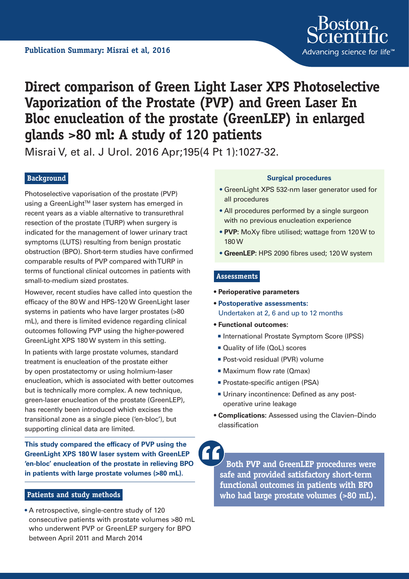

# **Direct comparison of Green Light Laser XPS Photoselective Vaporization of the Prostate (PVP) and Green Laser En Bloc enucleation of the prostate (GreenLEP) in enlarged glands >80 ml: A study of 120 patients**

Misrai V, et al. J Urol. 2016 Apr;195(4 Pt 1):1027-32.

# **Background**

Photoselective vaporisation of the prostate (PVP) using a GreenLight™ laser system has emerged in recent years as a viable alternative to transurethral resection of the prostate (TURP) when surgery is indicated for the management of lower urinary tract symptoms (LUTS) resulting from benign prostatic obstruction (BPO). Short-term studies have confirmed comparable results of PVP compared with TURP in terms of functional clinical outcomes in patients with small-to-medium sized prostates.

However, recent studies have called into question the efficacy of the 80 W and HPS-120 W GreenLight laser systems in patients who have larger prostates (>80 mL), and there is limited evidence regarding clinical outcomes following PVP using the higher-powered GreenLight XPS 180 W system in this setting.

In patients with large prostate volumes, standard treatment is enucleation of the prostate either by open prostatectomy or using holmium-laser enucleation, which is associated with better outcomes but is technically more complex. A new technique, green-laser enucleation of the prostate (GreenLEP), has recently been introduced which excises the transitional zone as a single piece ('en-bloc'), but supporting clinical data are limited.

**This study compared the efficacy of PVP using the GreenLight XPS 180 W laser system with GreenLEP 'en-bloc' enucleation of the prostate in relieving BPO in patients with large prostate volumes (>80 mL).**

#### **Patients and study methods**

• A retrospective, single-centre study of 120 consecutive patients with prostate volumes >80 mL who underwent PVP or GreenLEP surgery for BPO between April 2011 and March 2014

#### **Surgical procedures**

- GreenLight XPS 532-nm laser generator used for all procedures
- All procedures performed by a single surgeon with no previous enucleation experience
- **PVP:** MoXy fibre utilised; wattage from 120 W to 180 W
- **• GreenLEP:** HPS 2090 fibres used; 120 W system

#### **Assessments**

- **Perioperative parameters**
- **• Postoperative assessments:**  Undertaken at 2, 6 and up to 12 months
- **Functional outcomes:** 
	- International Prostate Symptom Score (IPSS)
	- Quality of life (QoL) scores
	- **Post-void residual (PVR) volume**
	- Maximum flow rate (Qmax)
	- **Prostate-specific antigen (PSA)**
	- Urinary incontinence: Defined as any postoperative urine leakage
- **Complications:** Assessed using the Clavien–Dindo classification

**Both PVP and GreenLEP procedures were safe and provided satisfactory short-term functional outcomes in patients with BPO who had large prostate volumes (>80 mL).**